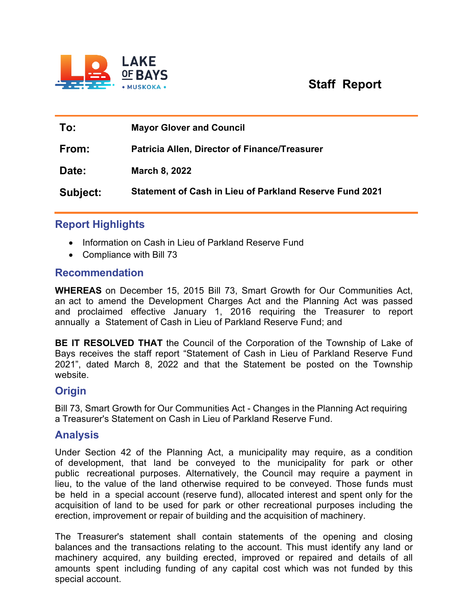

# **Staff Report**

| To:      | <b>Mayor Glover and Council</b>                                |
|----------|----------------------------------------------------------------|
| From:    | <b>Patricia Allen, Director of Finance/Treasurer</b>           |
| Date:    | March 8, 2022                                                  |
| Subject: | <b>Statement of Cash in Lieu of Parkland Reserve Fund 2021</b> |

## **Report Highlights**

- Information on Cash in Lieu of Parkland Reserve Fund
- Compliance with Bill 73

#### **Recommendation**

**WHEREAS** on December 15, 2015 Bill 73, Smart Growth for Our Communities Act, an act to amend the Development Charges Act and the Planning Act was passed and proclaimed effective January 1, 2016 requiring the Treasurer to report annually a Statement of Cash in Lieu of Parkland Reserve Fund; and

**BE IT RESOLVED THAT** the Council of the Corporation of the Township of Lake of Bays receives the staff report "Statement of Cash in Lieu of Parkland Reserve Fund 2021", dated March 8, 2022 and that the Statement be posted on the Township website.

## **Origin**

Bill 73, Smart Growth for Our Communities Act - Changes in the Planning Act requiring a Treasurer's Statement on Cash in Lieu of Parkland Reserve Fund.

## **Analysis**

Under Section 42 of the Planning Act, a municipality may require, as a condition of development, that land be conveyed to the municipality for park or other public recreational purposes. Alternatively, the Council may require a payment in lieu, to the value of the land otherwise required to be conveyed. Those funds must be held in a special account (reserve fund), allocated interest and spent only for the acquisition of land to be used for park or other recreational purposes including the erection, improvement or repair of building and the acquisition of machinery.

The Treasurer's statement shall contain statements of the opening and closing balances and the transactions relating to the account. This must identify any land or machinery acquired, any building erected, improved or repaired and details of all amounts spent including funding of any capital cost which was not funded by this special account.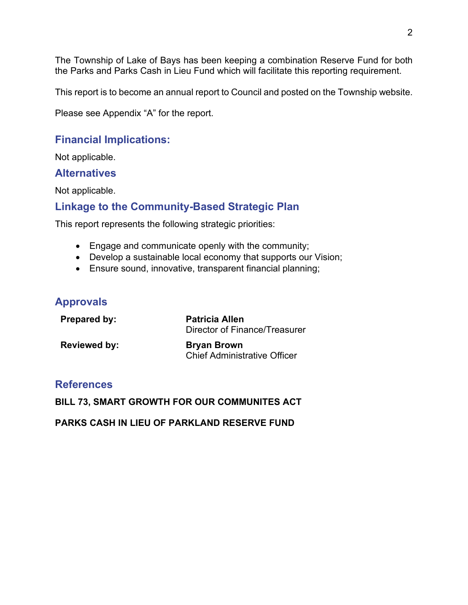The Township of Lake of Bays has been keeping a combination Reserve Fund for both the Parks and Parks Cash in Lieu Fund which will facilitate this reporting requirement.

This report is to become an annual report to Council and posted on the Township website.

Please see Appendix "A" for the report.

## **Financial Implications:**

Not applicable.

#### **Alternatives**

Not applicable.

## **Linkage to the Community-Based Strategic Plan**

This report represents the following strategic priorities:

- Engage and communicate openly with the community;
- Develop a sustainable local economy that supports our Vision;
- Ensure sound, innovative, transparent financial planning;

### **Approvals**

| <b>Prepared by:</b> | <b>Patricia Allen</b><br>Director of Finance/Treasurer    |
|---------------------|-----------------------------------------------------------|
| Reviewed by:        | <b>Bryan Brown</b><br><b>Chief Administrative Officer</b> |

#### **References**

**BILL 73, SMART GROWTH FOR OUR COMMUNITES ACT**

**PARKS CASH IN LIEU OF PARKLAND RESERVE FUND**